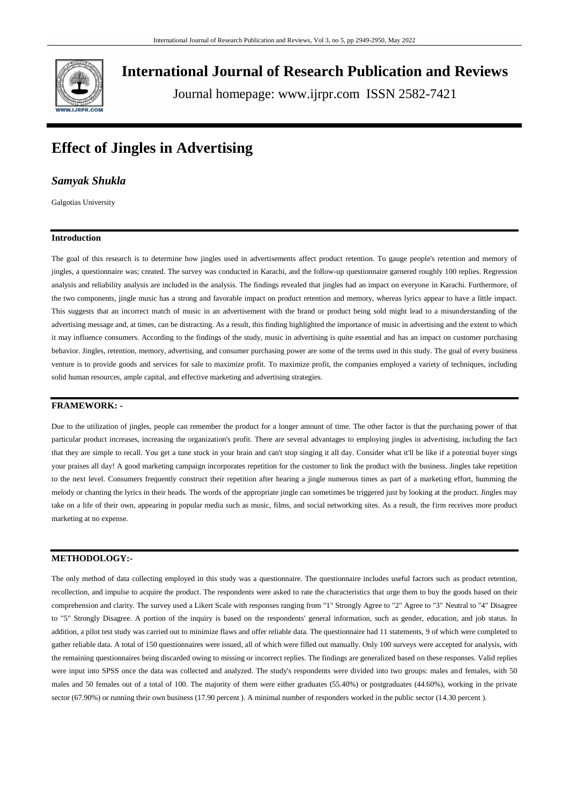

**International Journal of Research Publication and Reviews**

Journal homepage: www.ijrpr.com ISSN 2582-7421

# **Effect of Jingles in Advertising**

### *Samyak Shukla*

Galgotias University

### **Introduction**

The goal of this research is to determine how jingles used in advertisements affect product retention. To gauge people's retention and memory of jingles, a questionnaire was; created. The survey was conducted in Karachi, and the follow-up questionnaire garnered roughly 100 replies. Regression analysis and reliability analysis are included in the analysis. The findings revealed that jingles had an impact on everyone in Karachi. Furthermore, of the two components, jingle music has a strong and favorable impact on product retention and memory, whereas lyrics appear to have a little impact. This suggests that an incorrect match of music in an advertisement with the brand or product being sold might lead to a misunderstanding of the advertising message and, at times, can be distracting. As a result, this finding highlighted the importance of music in advertising and the extent to which it may influence consumers. According to the findings of the study, music in advertising is quite essential and has an impact on customer purchasing behavior. Jingles, retention, memory, advertising, and consumer purchasing power are some of the terms used in this study. The goal of every business venture is to provide goods and services for sale to maximize profit. To maximize profit, the companies employed a variety of techniques, including solid human resources, ample capital, and effective marketing and advertising strategies.

# **FRAMEWORK: -**

Due to the utilization of jingles, people can remember the product for a longer amount of time. The other factor is that the purchasing power of that particular product increases, increasing the organization's profit. There are several advantages to employing jingles in advertising, including the fact that they are simple to recall. You get a tune stuck in your brain and can't stop singing it all day. Consider what it'll be like if a potential buyer sings your praises all day! A good marketing campaign incorporates repetition for the customer to link the product with the business. Jingles take repetition to the next level. Consumers frequently construct their repetition after hearing a jingle numerous times as part of a marketing effort, humming the melody or chanting the lyrics in their heads. The words of the appropriate jingle can sometimes be triggered just by looking at the product. Jingles may take on a life of their own, appearing in popular media such as music, films, and social networking sites. As a result, the firm receives more product marketing at no expense.

## **METHODOLOGY:-**

The only method of data collecting employed in this study was a questionnaire. The questionnaire includes useful factors such as product retention, recollection, and impulse to acquire the product. The respondents were asked to rate the characteristics that urge them to buy the goods based on their comprehension and clarity. The survey used a Likert Scale with responses ranging from "1" Strongly Agree to "2" Agree to "3" Neutral to "4" Disagree to "5" Strongly Disagree. A portion of the inquiry is based on the respondents' general information, such as gender, education, and job status. In addition, a pilot test study was carried out to minimize flaws and offer reliable data. The questionnaire had 11 statements, 9 of which were completed to gather reliable data. A total of 150 questionnaires were issued, all of which were filled out manually. Only 100 surveys were accepted for analysis, with the remaining questionnaires being discarded owing to missing or incorrect replies. The findings are generalized based on these responses. Valid replies were input into SPSS once the data was collected and analyzed. The study's respondents were divided into two groups: males and females, with 50 males and 50 females out of a total of 100. The majority of them were either graduates (55.40%) or postgraduates (44.60%), working in the private sector (67.90%) or running their own business (17.90 percent ). A minimal number of responders worked in the public sector (14.30 percent ).